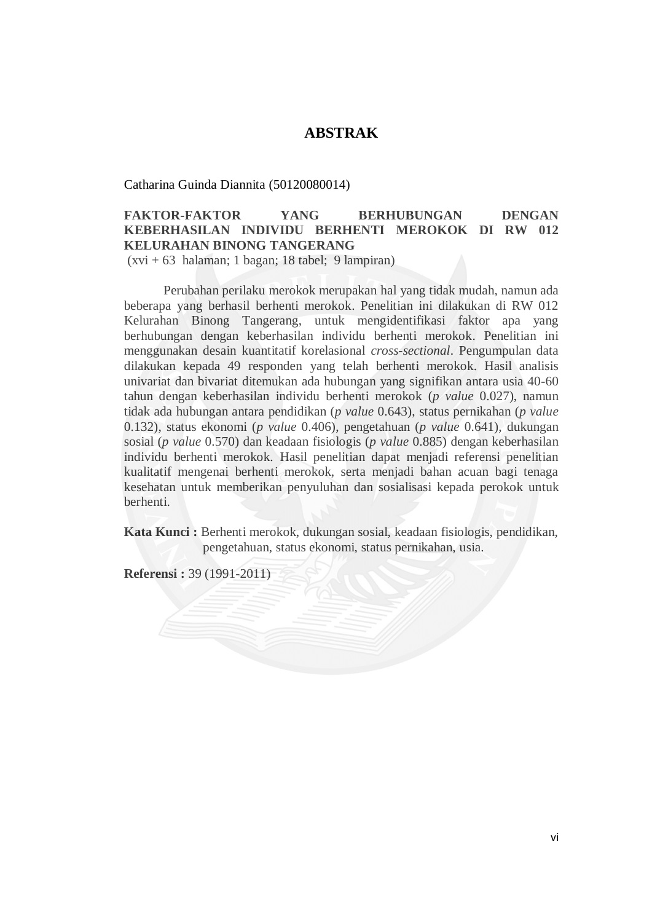## **ABSTRAK**

Catharina Guinda Diannita (50120080014)

## **FAKTOR-FAKTOR YANG BERHUBUNGAN DENGAN KEBERHASILAN INDIVIDU BERHENTI MEROKOK DI RW 012 KELURAHAN BINONG TANGERANG**

(xvi + 63 halaman; 1 bagan; 18 tabel; 9 lampiran)

Perubahan perilaku merokok merupakan hal yang tidak mudah, namun ada beberapa yang berhasil berhenti merokok. Penelitian ini dilakukan di RW 012 Kelurahan Binong Tangerang, untuk mengidentifikasi faktor apa yang berhubungan dengan keberhasilan individu berhenti merokok. Penelitian ini menggunakan desain kuantitatif korelasional *cross-sectional*. Pengumpulan data dilakukan kepada 49 responden yang telah berhenti merokok. Hasil analisis univariat dan bivariat ditemukan ada hubungan yang signifikan antara usia 40-60 tahun dengan keberhasilan individu berhenti merokok (*p value* 0.027), namun tidak ada hubungan antara pendidikan (*p value* 0.643), status pernikahan (*p value* 0.132), status ekonomi (*p value* 0.406), pengetahuan (*p value* 0.641), dukungan sosial (*p value* 0.570) dan keadaan fisiologis (*p value* 0.885) dengan keberhasilan individu berhenti merokok. Hasil penelitian dapat menjadi referensi penelitian kualitatif mengenai berhenti merokok, serta menjadi bahan acuan bagi tenaga kesehatan untuk memberikan penyuluhan dan sosialisasi kepada perokok untuk berhenti.

**Kata Kunci :** Berhenti merokok, dukungan sosial, keadaan fisiologis, pendidikan, pengetahuan, status ekonomi, status pernikahan, usia.

**Referensi :** 39 (1991-2011)